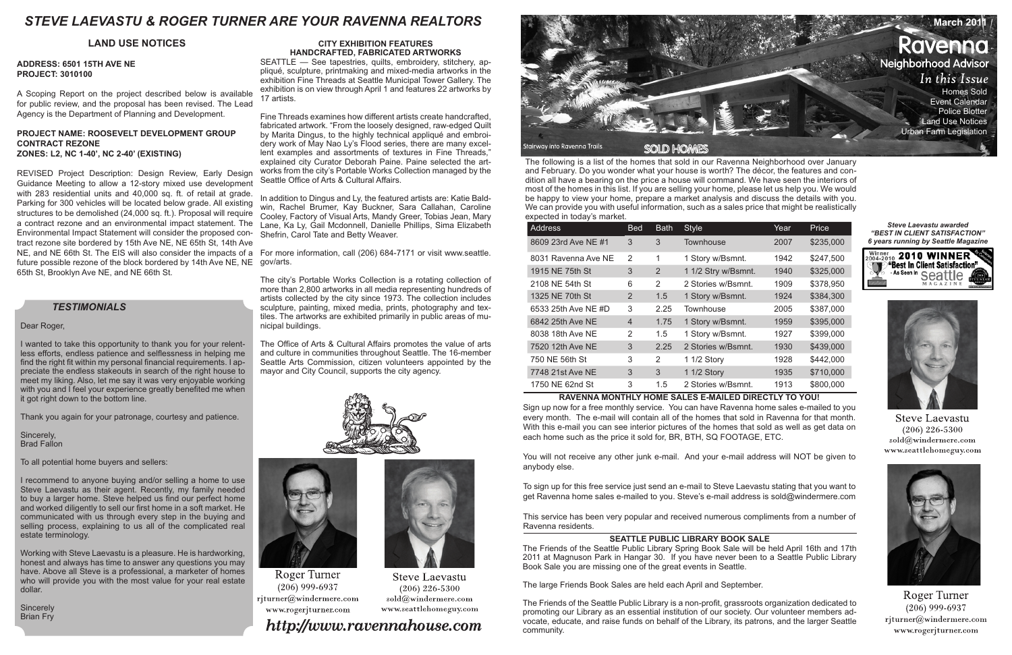The following is a list of the homes that sold in our Ravenna Neighborhood over January and February. Do you wonder what your house is worth? The décor, the features and condition all have a bearing on the price a house will command. We have seen the interiors of most of the homes in this list. If you are selling your home, please let us help you. We would be happy to view your home, prepare a market analysis and discuss the details with you. We can provide you with useful information, such as a sales price that might be realistically expected in today's market.

| Address             | <b>Bed</b>     | <b>Bath</b> | <b>Style</b>        | Year | Price     |
|---------------------|----------------|-------------|---------------------|------|-----------|
| 8609 23rd Ave NE #1 | 3              | 3           | Townhouse           | 2007 | \$235,000 |
| 8031 Ravenna Ave NE | $\mathcal{P}$  | 1           | 1 Story w/Bsmnt.    | 1942 | \$247,500 |
| 1915 NE 75th St     | 3              | 2           | 1 1/2 Stry w/Bsmnt. | 1940 | \$325,000 |
| 2108 NE 54th St     | 6              | 2           | 2 Stories w/Bsmnt.  | 1909 | \$378,950 |
| 1325 NE 70th St     | $\overline{2}$ | 1.5         | 1 Story w/Bsmnt.    | 1924 | \$384,300 |
| 6533 25th Ave NE #D | 3              | 2.25        | Townhouse           | 2005 | \$387,000 |
| 6842 25th Ave NE    | 4              | 1.75        | 1 Story w/Bsmnt.    | 1959 | \$395,000 |
| 8038 18th Ave NE    | 2              | 1.5         | 1 Story w/Bsmnt.    | 1927 | \$399,000 |
| 7520 12th Ave NE    | 3              | 2.25        | 2 Stories w/Bsmnt.  | 1930 | \$439,000 |
| 750 NE 56th St      | 3              | 2           | 1 1/2 Story         | 1928 | \$442,000 |
| 7748 21st Ave NE    | 3              | 3           | 1 1/2 Story         | 1935 | \$710,000 |
| 1750 NE 62nd St     | 3              | 1.5         | 2 Stories w/Bsmnt.  | 1913 | \$800,000 |

# **RAVENNA MONTHLY HOME SALES E-MAILED DIRECTLY TO YOU!**

Sign up now for a free monthly service. You can have Ravenna home sales e-mailed to you every month. The e-mail will contain all of the homes that sold in Ravenna for that month. With this e-mail you can see interior pictures of the homes that sold as well as get data on each home such as the price it sold for, BR, BTH, SQ FOOTAGE, ETC.

**Sincerely** Brian Fry



You will not receive any other junk e-mail. And your e-mail address will NOT be given to anybody else.

To sign up for this free service just send an e-mail to Steve Laevastu stating that you want to get Ravenna home sales e-mailed to you. Steve's e-mail address is sold@windermere.com

This service has been very popular and received numerous compliments from a number of Ravenna residents.

# *TESTIMONIALS*

# Dear Roger,

I wanted to take this opportunity to thank you for your relentless efforts, endless patience and selflessness in helping me find the right fit within my personal financial requirements. I appreciate the endless stakeouts in search of the right house to meet my liking. Also, let me say it was very enjoyable working with you and I feel your experience greatly benefited me when it got right down to the bottom line.

Thank you again for your patronage, courtesy and patience.

Sincerely, Brad Fallon

To all potential home buyers and sellers:

I recommend to anyone buying and/or selling a home to use Steve Laevastu as their agent. Recently, my family needed to buy a larger home. Steve helped us find our perfect home and worked diligently to sell our first home in a soft market. He communicated with us through every step in the buying and selling process, explaining to us all of the complicated real estate terminology.

Working with Steve Laevastu is a pleasure. He is hardworking, honest and always has time to answer any questions you may have. Above all Steve is a professional, a marketer of homes who will provide you with the most value for your real estate dollar.

# **SEATTLE PUBLIC LIBRARY BOOK SALE**

The Friends of the Seattle Public Library Spring Book Sale will be held April 16th and 17th 2011 at Magnuson Park in Hangar 30. If you have never been to a Seattle Public Library Book Sale you are missing one of the great events in Seattle.

The large Friends Book Sales are held each April and September.

The Friends of the Seattle Public Library is a non-profit, grassroots organization dedicated to promoting our Library as an essential institution of our society. Our volunteer members advocate, educate, and raise funds on behalf of the Library, its patrons, and the larger Seattle community.



#### *Steve Laevastu awarded "BEST IN CLIENT SATISFACTION" 6 years running by Seattle Magazine*





**Steve Laevastu**  $(206)$  226-5300 sold@windermere.com www.seattlehomeguy.com



Roger Turner  $(206)$  999-6937 rjturner@windermere.com www.rogerjturner.com

# **ADDRESS: 6501 15TH AVE NE PROJECT: 3010100**

A Scoping Report on the project described below is available for public review, and the proposal has been revised. The Lead Agency is the Department of Planning and Development.

# **PROJECT NAME: ROOSEVELT DEVELOPMENT GROUP CONTRACT REZONE ZONES: L2, NC 1-40', NC 2-40' (EXISTING)**

REVISED Project Description: Design Review, Early Design Guidance Meeting to allow a 12-story mixed use development with 283 residential units and 40,000 sq. ft. of retail at grade. Parking for 300 vehicles will be located below grade. All existing structures to be demolished (24,000 sq. ft.). Proposal will require a contract rezone and an environmental impact statement. The Environmental Impact Statement will consider the proposed contract rezone site bordered by 15th Ave NE, NE 65th St, 14th Ave NE, and NE 66th St. The EIS will also consider the impacts of a For more information, call (206) 684-7171 or visit www.seattle. future possible rezone of the block bordered by 14th Ave NE, NE gov/arts. 65th St, Brooklyn Ave NE, and NE 66th St.

# **LAND USE NOTICES CITY EXHIBITION FEATURES HANDCRAFTED, FABRICATED ARTWORKS**

SEATTLE — See tapestries, quilts, embroidery, stitchery, appliqué, sculpture, printmaking and mixed-media artworks in the exhibition Fine Threads at Seattle Municipal Tower Gallery. The exhibition is on view through April 1 and features 22 artworks by 17 artists.

Fine Threads examines how different artists create handcrafted, fabricated artwork. "From the loosely designed, raw-edged Quilt by Marita Dingus, to the highly technical appliqué and embroidery work of May Nao Ly's Flood series, there are many excellent examples and assortments of textures in Fine Threads," explained city Curator Deborah Paine. Paine selected the artworks from the city's Portable Works Collection managed by the Seattle Office of Arts & Cultural Affairs.

In addition to Dingus and Ly, the featured artists are: Katie Baldwin, Rachel Brumer, Kay Buckner, Sara Callahan, Caroline Cooley, Factory of Visual Arts, Mandy Greer, Tobias Jean, Mary Lane, Ka Ly, Gail Mcdonnell, Danielle Phillips, Sima Elizabeth Shefrin, Carol Tate and Betty Weaver.

The city's Portable Works Collection is a rotating collection of more than 2,800 artworks in all media representing hundreds of artists collected by the city since 1973. The collection includes sculpture, painting, mixed media, prints, photography and textiles. The artworks are exhibited primarily in public areas of municipal buildings.

The Office of Arts & Cultural Affairs promotes the value of arts and culture in communities throughout Seattle. The 16-member Seattle Arts Commission, citizen volunteers appointed by the mayor and City Council, supports the city agency.





**Roger Turner**  $(206)$  999-6937 rjturner@windermere.com www.rogerjturner.com

# http://www.ravennahouse.com

**Steve Laevastu** 

 $(206)$  226-5300

sold@windermere.com

www.seattlehomeguy.com